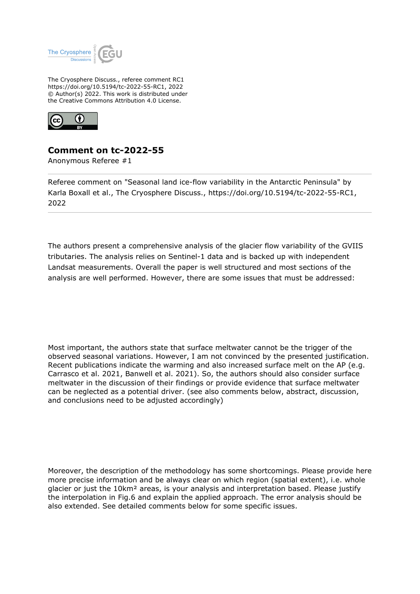

The Cryosphere Discuss., referee comment RC1 https://doi.org/10.5194/tc-2022-55-RC1, 2022 © Author(s) 2022. This work is distributed under the Creative Commons Attribution 4.0 License.



## **Comment on tc-2022-55**

Anonymous Referee #1

Referee comment on "Seasonal land ice-flow variability in the Antarctic Peninsula" by Karla Boxall et al., The Cryosphere Discuss., https://doi.org/10.5194/tc-2022-55-RC1, 2022

The authors present a comprehensive analysis of the glacier flow variability of the GVIIS tributaries. The analysis relies on Sentinel-1 data and is backed up with independent Landsat measurements. Overall the paper is well structured and most sections of the analysis are well performed. However, there are some issues that must be addressed:

Most important, the authors state that surface meltwater cannot be the trigger of the observed seasonal variations. However, I am not convinced by the presented justification. Recent publications indicate the warming and also increased surface melt on the AP (e.g. Carrasco et al. 2021, Banwell et al. 2021). So, the authors should also consider surface meltwater in the discussion of their findings or provide evidence that surface meltwater can be neglected as a potential driver. (see also comments below, abstract, discussion, and conclusions need to be adjusted accordingly)

Moreover, the description of the methodology has some shortcomings. Please provide here more precise information and be always clear on which region (spatial extent), i.e. whole glacier or just the 10km² areas, is your analysis and interpretation based. Please justify the interpolation in Fig.6 and explain the applied approach. The error analysis should be also extended. See detailed comments below for some specific issues.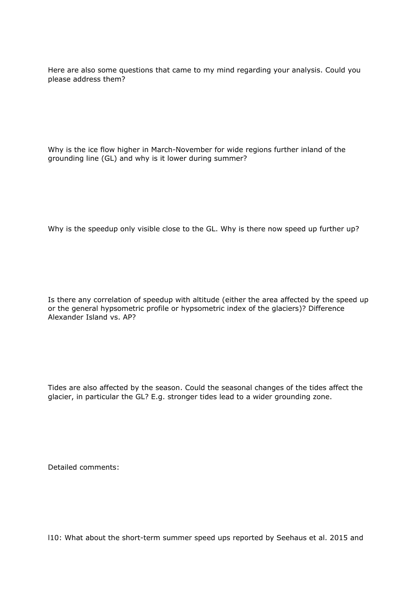Here are also some questions that came to my mind regarding your analysis. Could you please address them?

Why is the ice flow higher in March-November for wide regions further inland of the grounding line (GL) and why is it lower during summer?

Why is the speedup only visible close to the GL. Why is there now speed up further up?

Is there any correlation of speedup with altitude (either the area affected by the speed up or the general hypsometric profile or hypsometric index of the glaciers)? Difference Alexander Island vs. AP?

Tides are also affected by the season. Could the seasonal changes of the tides affect the glacier, in particular the GL? E.g. stronger tides lead to a wider grounding zone.

Detailed comments:

l10: What about the short-term summer speed ups reported by Seehaus et al. 2015 and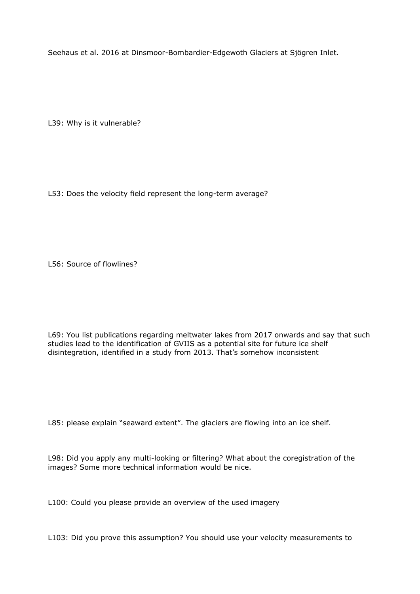Seehaus et al. 2016 at Dinsmoor-Bombardier-Edgewoth Glaciers at Sjögren Inlet.

L39: Why is it vulnerable?

L53: Does the velocity field represent the long-term average?

L56: Source of flowlines?

L69: You list publications regarding meltwater lakes from 2017 onwards and say that such studies lead to the identification of GVIIS as a potential site for future ice shelf disintegration, identified in a study from 2013. That's somehow inconsistent

L85: please explain "seaward extent". The glaciers are flowing into an ice shelf.

L98: Did you apply any multi-looking or filtering? What about the coregistration of the images? Some more technical information would be nice.

L100: Could you please provide an overview of the used imagery

L103: Did you prove this assumption? You should use your velocity measurements to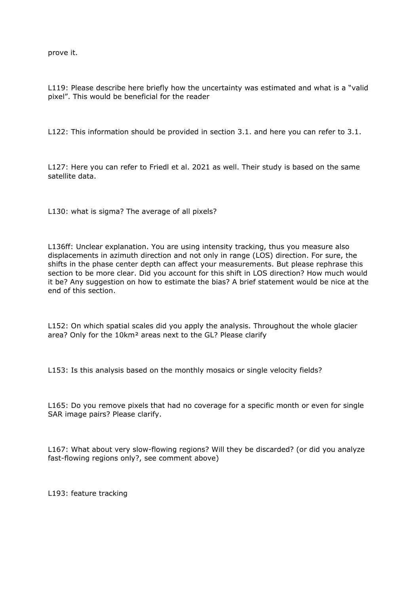prove it.

L119: Please describe here briefly how the uncertainty was estimated and what is a "valid pixel". This would be beneficial for the reader

L122: This information should be provided in section 3.1. and here you can refer to 3.1.

L127: Here you can refer to Friedl et al. 2021 as well. Their study is based on the same satellite data.

L130: what is sigma? The average of all pixels?

L136ff: Unclear explanation. You are using intensity tracking, thus you measure also displacements in azimuth direction and not only in range (LOS) direction. For sure, the shifts in the phase center depth can affect your measurements. But please rephrase this section to be more clear. Did you account for this shift in LOS direction? How much would it be? Any suggestion on how to estimate the bias? A brief statement would be nice at the end of this section.

L152: On which spatial scales did you apply the analysis. Throughout the whole glacier area? Only for the 10km² areas next to the GL? Please clarify

L153: Is this analysis based on the monthly mosaics or single velocity fields?

L165: Do you remove pixels that had no coverage for a specific month or even for single SAR image pairs? Please clarify.

L167: What about very slow-flowing regions? Will they be discarded? (or did you analyze fast-flowing regions only?, see comment above)

L193: feature tracking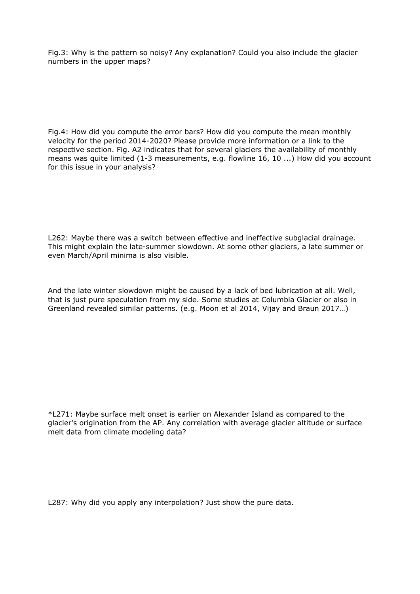Fig.3: Why is the pattern so noisy? Any explanation? Could you also include the glacier numbers in the upper maps?

Fig.4: How did you compute the error bars? How did you compute the mean monthly velocity for the period 2014-2020? Please provide more information or a link to the respective section. Fig. A2 indicates that for several glaciers the availability of monthly means was quite limited (1-3 measurements, e.g. flowline 16, 10 ...) How did you account for this issue in your analysis?

L262: Maybe there was a switch between effective and ineffective subglacial drainage. This might explain the late-summer slowdown. At some other glaciers, a late summer or even March/April minima is also visible.

And the late winter slowdown might be caused by a lack of bed lubrication at all. Well, that is just pure speculation from my side. Some studies at Columbia Glacier or also in Greenland revealed similar patterns. (e.g. Moon et al 2014, Vijay and Braun 2017…)

\*L271: Maybe surface melt onset is earlier on Alexander Island as compared to the glacier's origination from the AP. Any correlation with average glacier altitude or surface melt data from climate modeling data?

L287: Why did you apply any interpolation? Just show the pure data.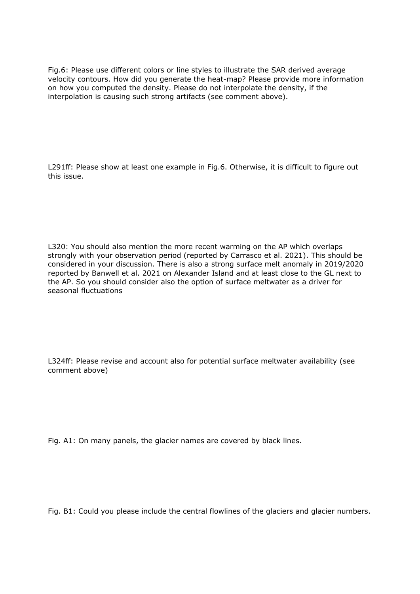Fig.6: Please use different colors or line styles to illustrate the SAR derived average velocity contours. How did you generate the heat-map? Please provide more information on how you computed the density. Please do not interpolate the density, if the interpolation is causing such strong artifacts (see comment above).

L291ff: Please show at least one example in Fig.6. Otherwise, it is difficult to figure out this issue.

L320: You should also mention the more recent warming on the AP which overlaps strongly with your observation period (reported by Carrasco et al. 2021). This should be considered in your discussion. There is also a strong surface melt anomaly in 2019/2020 reported by Banwell et al. 2021 on Alexander Island and at least close to the GL next to the AP. So you should consider also the option of surface meltwater as a driver for seasonal fluctuations

L324ff: Please revise and account also for potential surface meltwater availability (see comment above)

Fig. A1: On many panels, the glacier names are covered by black lines.

Fig. B1: Could you please include the central flowlines of the glaciers and glacier numbers.